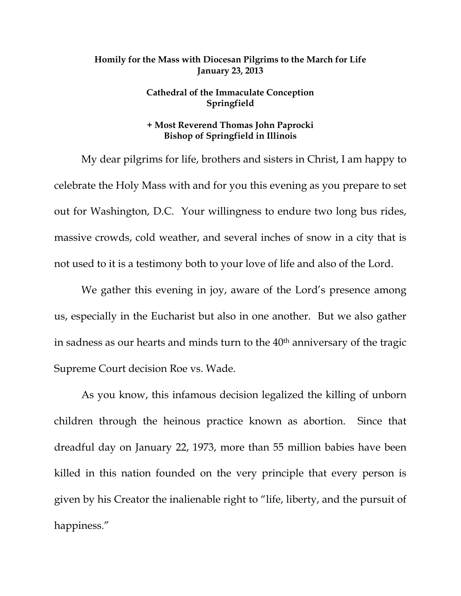## **Homily for the Mass with Diocesan Pilgrims to the March for Life January 23, 2013**

## **Cathedral of the Immaculate Conception Springfield**

## **+ Most Reverend Thomas John Paprocki Bishop of Springfield in Illinois**

 My dear pilgrims for life, brothers and sisters in Christ, I am happy to celebrate the Holy Mass with and for you this evening as you prepare to set out for Washington, D.C. Your willingness to endure two long bus rides, massive crowds, cold weather, and several inches of snow in a city that is not used to it is a testimony both to your love of life and also of the Lord.

 We gather this evening in joy, aware of the Lord's presence among us, especially in the Eucharist but also in one another. But we also gather in sadness as our hearts and minds turn to the 40<sup>th</sup> anniversary of the tragic Supreme Court decision Roe vs. Wade.

As you know, this infamous decision legalized the killing of unborn children through the heinous practice known as abortion. Since that dreadful day on January 22, 1973, more than 55 million babies have been killed in this nation founded on the very principle that every person is given by his Creator the inalienable right to "life, liberty, and the pursuit of happiness."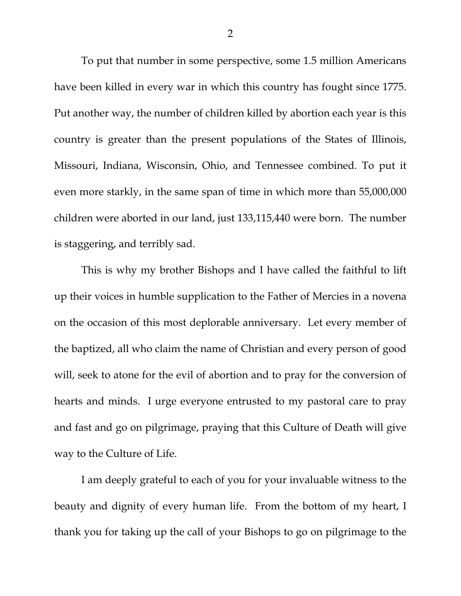To put that number in some perspective, some 1.5 million Americans have been killed in every war in which this country has fought since 1775. Put another way, the number of children killed by abortion each year is this country is greater than the present populations of the States of Illinois, Missouri, Indiana, Wisconsin, Ohio, and Tennessee combined. To put it even more starkly, in the same span of time in which more than 55,000,000 children were aborted in our land, just 133,115,440 were born. The number is staggering, and terribly sad.

 This is why my brother Bishops and I have called the faithful to lift up their voices in humble supplication to the Father of Mercies in a novena on the occasion of this most deplorable anniversary. Let every member of the baptized, all who claim the name of Christian and every person of good will, seek to atone for the evil of abortion and to pray for the conversion of hearts and minds. I urge everyone entrusted to my pastoral care to pray and fast and go on pilgrimage, praying that this Culture of Death will give way to the Culture of Life.

 I am deeply grateful to each of you for your invaluable witness to the beauty and dignity of every human life. From the bottom of my heart, I thank you for taking up the call of your Bishops to go on pilgrimage to the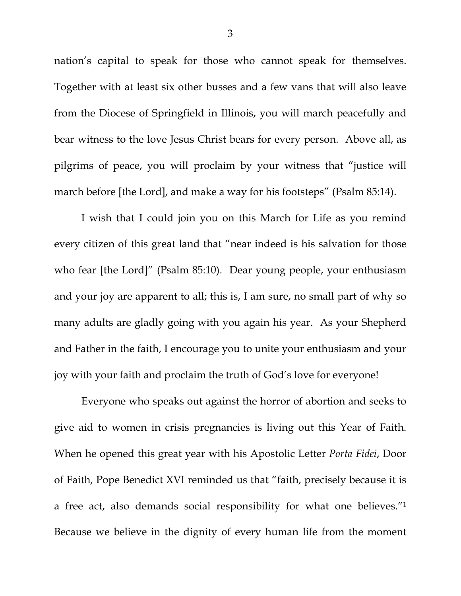nation's capital to speak for those who cannot speak for themselves. Together with at least six other busses and a few vans that will also leave from the Diocese of Springfield in Illinois, you will march peacefully and bear witness to the love Jesus Christ bears for every person. Above all, as pilgrims of peace, you will proclaim by your witness that "justice will march before [the Lord], and make a way for his footsteps" (Psalm 85:14).

 I wish that I could join you on this March for Life as you remind every citizen of this great land that "near indeed is his salvation for those who fear [the Lord]" (Psalm 85:10). Dear young people, your enthusiasm and your joy are apparent to all; this is, I am sure, no small part of why so many adults are gladly going with you again his year. As your Shepherd and Father in the faith, I encourage you to unite your enthusiasm and your joy with your faith and proclaim the truth of God's love for everyone!

 Everyone who speaks out against the horror of abortion and seeks to give aid to women in crisis pregnancies is living out this Year of Faith. When he opened this great year with his Apostolic Letter *Porta Fidei*, Door of Faith, Pope Benedict XVI reminded us that "faith, precisely because it is a free act, also demands social responsibility for what one believes."1 Because we believe in the dignity of every human life from the moment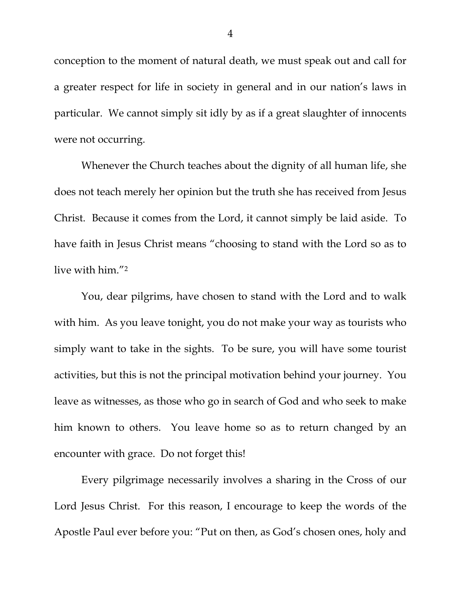conception to the moment of natural death, we must speak out and call for a greater respect for life in society in general and in our nation's laws in particular. We cannot simply sit idly by as if a great slaughter of innocents were not occurring.

 Whenever the Church teaches about the dignity of all human life, she does not teach merely her opinion but the truth she has received from Jesus Christ. Because it comes from the Lord, it cannot simply be laid aside. To have faith in Jesus Christ means "choosing to stand with the Lord so as to live with him."2

 You, dear pilgrims, have chosen to stand with the Lord and to walk with him. As you leave tonight, you do not make your way as tourists who simply want to take in the sights. To be sure, you will have some tourist activities, but this is not the principal motivation behind your journey. You leave as witnesses, as those who go in search of God and who seek to make him known to others. You leave home so as to return changed by an encounter with grace. Do not forget this!

 Every pilgrimage necessarily involves a sharing in the Cross of our Lord Jesus Christ. For this reason, I encourage to keep the words of the Apostle Paul ever before you: "Put on then, as God's chosen ones, holy and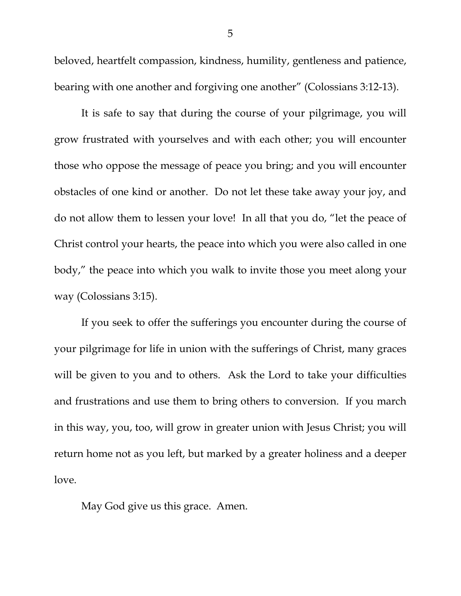beloved, heartfelt compassion, kindness, humility, gentleness and patience, bearing with one another and forgiving one another" (Colossians 3:12-13).

 It is safe to say that during the course of your pilgrimage, you will grow frustrated with yourselves and with each other; you will encounter those who oppose the message of peace you bring; and you will encounter obstacles of one kind or another. Do not let these take away your joy, and do not allow them to lessen your love! In all that you do, "let the peace of Christ control your hearts, the peace into which you were also called in one body," the peace into which you walk to invite those you meet along your way (Colossians 3:15).

 If you seek to offer the sufferings you encounter during the course of your pilgrimage for life in union with the sufferings of Christ, many graces will be given to you and to others. Ask the Lord to take your difficulties and frustrations and use them to bring others to conversion. If you march in this way, you, too, will grow in greater union with Jesus Christ; you will return home not as you left, but marked by a greater holiness and a deeper love.

May God give us this grace. Amen.